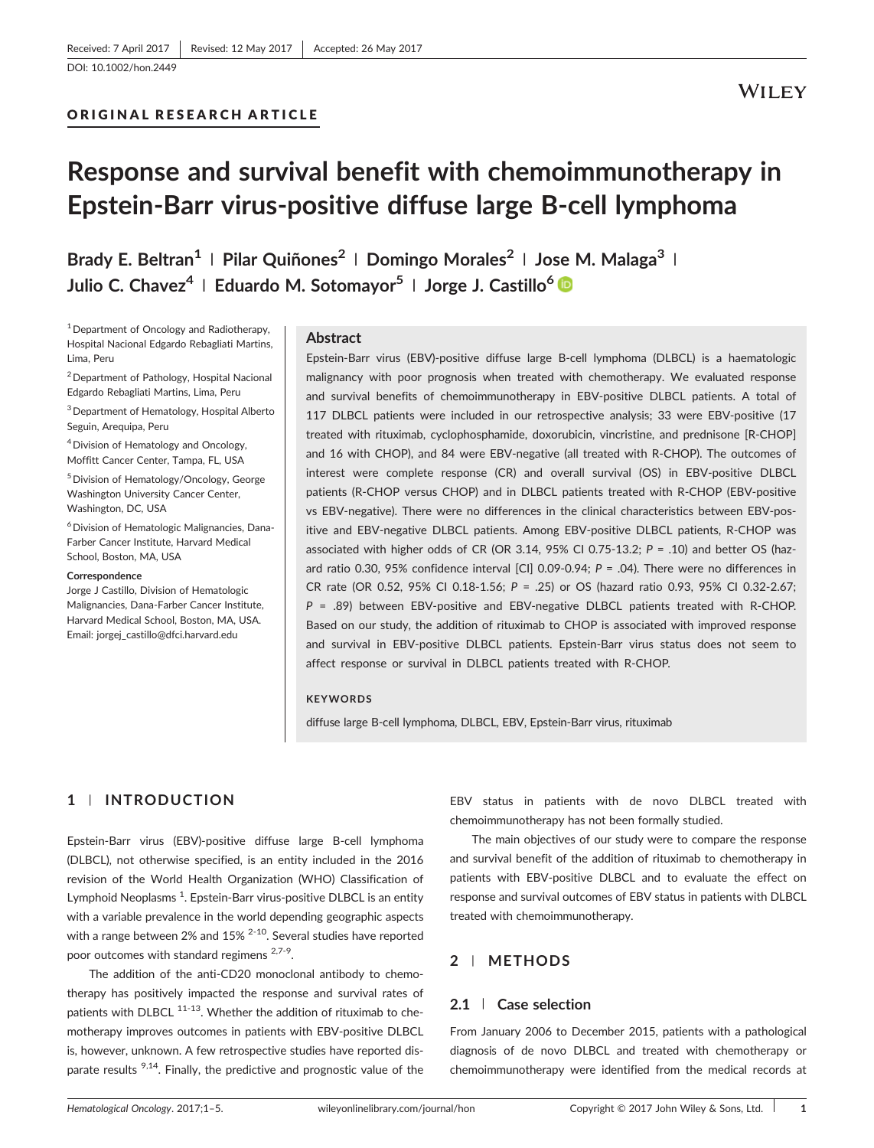[DOI: 10.1002/hon.2449](https://doi.org/10.1002/hon.2449)

## ORIGINAL RESEARCH ARTICLE

# Response and survival benefit with chemoimmunotherapy in Epstein‐Barr virus‐positive diffuse large B‐cell lymphoma

Brady E. Beltran<sup>1</sup> | Pilar Quiñones<sup>2</sup> | Domingo Morales<sup>2</sup> | Jose M. Malaga<sup>3</sup> | Julio C. Chavez<sup>4</sup> | Eduardo M. Sotomayor<sup>5</sup> | Jorge J. Castillo<sup>6</sup>

1Department of Oncology and Radiotherapy, Hospital Nacional Edgardo Rebagliati Martins, Lima, Peru

2Department of Pathology, Hospital Nacional Edgardo Rebagliati Martins, Lima, Peru

3Department of Hematology, Hospital Alberto Seguin, Arequipa, Peru

4Division of Hematology and Oncology, Moffitt Cancer Center, Tampa, FL, USA

5Division of Hematology/Oncology, George Washington University Cancer Center, Washington, DC, USA

<sup>6</sup> Division of Hematologic Malignancies, Dana-Farber Cancer Institute, Harvard Medical School, Boston, MA, USA

#### **Correspondence**

Jorge J Castillo, Division of Hematologic Malignancies, Dana‐Farber Cancer Institute, Harvard Medical School, Boston, MA, USA. Email: [jorgej\\_castillo@dfci.harvard.edu](mailto:jorgej_castillo@dfci.harvard.edu)

#### Abstract

Epstein‐Barr virus (EBV)‐positive diffuse large B‐cell lymphoma (DLBCL) is a haematologic malignancy with poor prognosis when treated with chemotherapy. We evaluated response and survival benefits of chemoimmunotherapy in EBV‐positive DLBCL patients. A total of 117 DLBCL patients were included in our retrospective analysis; 33 were EBV-positive (17 treated with rituximab, cyclophosphamide, doxorubicin, vincristine, and prednisone [R‐CHOP] and 16 with CHOP), and 84 were EBV‐negative (all treated with R‐CHOP). The outcomes of interest were complete response (CR) and overall survival (OS) in EBV‐positive DLBCL patients (R‐CHOP versus CHOP) and in DLBCL patients treated with R‐CHOP (EBV‐positive vs EBV‐negative). There were no differences in the clinical characteristics between EBV‐positive and EBV‐negative DLBCL patients. Among EBV‐positive DLBCL patients, R‐CHOP was associated with higher odds of CR (OR 3.14, 95% CI 0.75-13.2;  $P = .10$ ) and better OS (hazard ratio 0.30, 95% confidence interval [CI] 0.09-0.94;  $P = .04$ ). There were no differences in CR rate (OR 0.52, 95% CI 0.18‐1.56; P = .25) or OS (hazard ratio 0.93, 95% CI 0.32‐2.67;  $P = .89$ ) between EBV-positive and EBV-negative DLBCL patients treated with R-CHOP. Based on our study, the addition of rituximab to CHOP is associated with improved response and survival in EBV‐positive DLBCL patients. Epstein‐Barr virus status does not seem to affect response or survival in DLBCL patients treated with R‐CHOP.

#### **KEYWORDS**

diffuse large B‐cell lymphoma, DLBCL, EBV, Epstein‐Barr virus, rituximab

# 1 | INTRODUCTION

Epstein‐Barr virus (EBV)‐positive diffuse large B‐cell lymphoma (DLBCL), not otherwise specified, is an entity included in the 2016 revision of the World Health Organization (WHO) Classification of Lymphoid Neoplasms <sup>1</sup>. Epstein-Barr virus-positive DLBCL is an entity with a variable prevalence in the world depending geographic aspects with a range between 2% and 15% <sup>2-10</sup>. Several studies have reported poor outcomes with standard regimens <sup>2,7-9</sup>.

The addition of the anti-CD20 monoclonal antibody to chemotherapy has positively impacted the response and survival rates of patients with DLBCL  $^{11-13}$ . Whether the addition of rituximab to chemotherapy improves outcomes in patients with EBV‐positive DLBCL is, however, unknown. A few retrospective studies have reported disparate results  $9,14$ . Finally, the predictive and prognostic value of the

EBV status in patients with de novo DLBCL treated with chemoimmunotherapy has not been formally studied.

The main objectives of our study were to compare the response and survival benefit of the addition of rituximab to chemotherapy in patients with EBV‐positive DLBCL and to evaluate the effect on response and survival outcomes of EBV status in patients with DLBCL treated with chemoimmunotherapy.

# 2 | METHODS

#### 2.1 | Case selection

From January 2006 to December 2015, patients with a pathological diagnosis of de novo DLBCL and treated with chemotherapy or chemoimmunotherapy were identified from the medical records at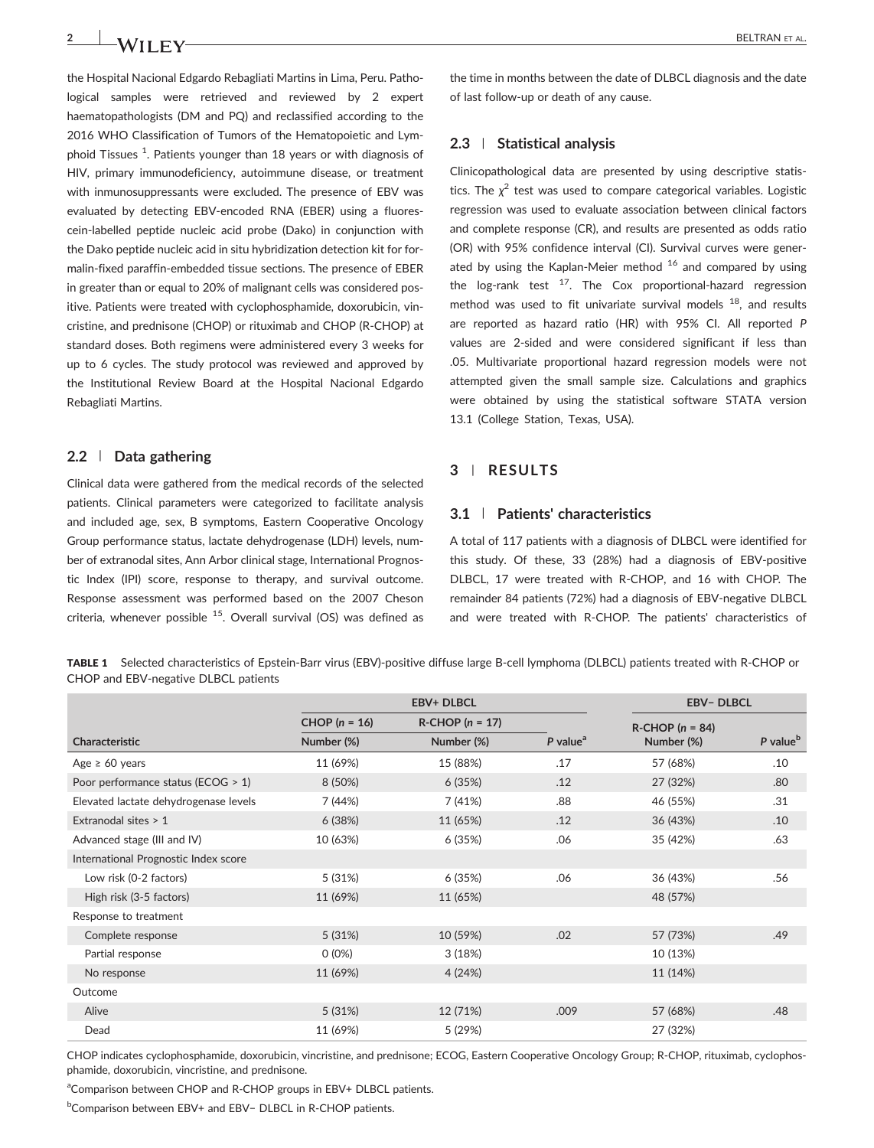the Hospital Nacional Edgardo Rebagliati Martins in Lima, Peru. Pathological samples were retrieved and reviewed by 2 expert haematopathologists (DM and PQ) and reclassified according to the 2016 WHO Classification of Tumors of the Hematopoietic and Lymphoid Tissues <sup>1</sup>. Patients younger than 18 years or with diagnosis of HIV, primary immunodeficiency, autoimmune disease, or treatment with inmunosuppressants were excluded. The presence of EBV was evaluated by detecting EBV‐encoded RNA (EBER) using a fluorescein‐labelled peptide nucleic acid probe (Dako) in conjunction with the Dako peptide nucleic acid in situ hybridization detection kit for formalin‐fixed paraffin‐embedded tissue sections. The presence of EBER in greater than or equal to 20% of malignant cells was considered positive. Patients were treated with cyclophosphamide, doxorubicin, vincristine, and prednisone (CHOP) or rituximab and CHOP (R‐CHOP) at standard doses. Both regimens were administered every 3 weeks for up to 6 cycles. The study protocol was reviewed and approved by the Institutional Review Board at the Hospital Nacional Edgardo Rebagliati Martins.

## 2.2 | Data gathering

Clinical data were gathered from the medical records of the selected patients. Clinical parameters were categorized to facilitate analysis and included age, sex, B symptoms, Eastern Cooperative Oncology Group performance status, lactate dehydrogenase (LDH) levels, number of extranodal sites, Ann Arbor clinical stage, International Prognostic Index (IPI) score, response to therapy, and survival outcome. Response assessment was performed based on the 2007 Cheson criteria, whenever possible  $15$ . Overall survival (OS) was defined as

the time in months between the date of DLBCL diagnosis and the date of last follow‐up or death of any cause.

#### 2.3 | Statistical analysis

Clinicopathological data are presented by using descriptive statistics. The  $\chi^2$  test was used to compare categorical variables. Logistic regression was used to evaluate association between clinical factors and complete response (CR), and results are presented as odds ratio (OR) with 95% confidence interval (CI). Survival curves were generated by using the Kaplan-Meier method  $16$  and compared by using the  $log-rank$  test  $17$ . The Cox proportional-hazard regression method was used to fit univariate survival models  $^{18}$ , and results are reported as hazard ratio (HR) with 95% CI. All reported P values are 2‐sided and were considered significant if less than .05. Multivariate proportional hazard regression models were not attempted given the small sample size. Calculations and graphics were obtained by using the statistical software STATA version 13.1 (College Station, Texas, USA).

## 3 | RESULTS

### 3.1 | Patients' characteristics

A total of 117 patients with a diagnosis of DLBCL were identified for this study. Of these, 33 (28%) had a diagnosis of EBV‐positive DLBCL, 17 were treated with R‐CHOP, and 16 with CHOP. The remainder 84 patients (72%) had a diagnosis of EBV‐negative DLBCL and were treated with R‐CHOP. The patients' characteristics of

TABLE 1 Selected characteristics of Epstein‐Barr virus (EBV)‐positive diffuse large B‐cell lymphoma (DLBCL) patients treated with R‐CHOP or CHOP and EBV‐negative DLBCL patients

|                                       | <b>EBV+ DLBCL</b> |                        |                        | <b>EBV-DLBCL</b>       |                      |
|---------------------------------------|-------------------|------------------------|------------------------|------------------------|----------------------|
|                                       | CHOP $(n = 16)$   | $R$ -CHOP ( $n = 17$ ) |                        | $R$ -CHOP ( $n = 84$ ) |                      |
| Characteristic                        | Number (%)        | Number (%)             | $P$ value <sup>a</sup> | Number (%)             | P value <sup>b</sup> |
| Age $\geq 60$ years                   | 11 (69%)          | 15 (88%)               | .17                    | 57 (68%)               | .10                  |
| Poor performance status (ECOG > 1)    | 8 (50%)           | 6(35%)                 | .12                    | 27 (32%)               | .80                  |
| Elevated lactate dehydrogenase levels | 7 (44%)           | 7 (41%)                | .88                    | 46 (55%)               | .31                  |
| Extranodal sites > 1                  | 6(38%)            | 11 (65%)               | .12                    | 36 (43%)               | .10                  |
| Advanced stage (III and IV)           | 10 (63%)          | 6 (35%)                | .06                    | 35 (42%)               | .63                  |
| International Prognostic Index score  |                   |                        |                        |                        |                      |
| Low risk (0-2 factors)                | 5(31%)            | 6 (35%)                | .06                    | 36 (43%)               | .56                  |
| High risk (3-5 factors)               | 11 (69%)          | 11 (65%)               |                        | 48 (57%)               |                      |
| Response to treatment                 |                   |                        |                        |                        |                      |
| Complete response                     | 5(31%)            | 10 (59%)               | .02                    | 57 (73%)               | .49                  |
| Partial response                      | $0(0\%)$          | 3(18%)                 |                        | 10 (13%)               |                      |
| No response                           | 11 (69%)          | 4 (24%)                |                        | 11 (14%)               |                      |
| Outcome                               |                   |                        |                        |                        |                      |
| Alive                                 | 5(31%)            | 12 (71%)               | .009                   | 57 (68%)               | .48                  |
| Dead                                  | 11 (69%)          | 5 (29%)                |                        | 27 (32%)               |                      |

CHOP indicates cyclophosphamide, doxorubicin, vincristine, and prednisone; ECOG, Eastern Cooperative Oncology Group; R‐CHOP, rituximab, cyclophosphamide, doxorubicin, vincristine, and prednisone.

aComparison between CHOP and R-CHOP groups in EBV+ DLBCL patients.

<sup>b</sup>Comparison between EBV+ and EBV- DLBCL in R-CHOP patients.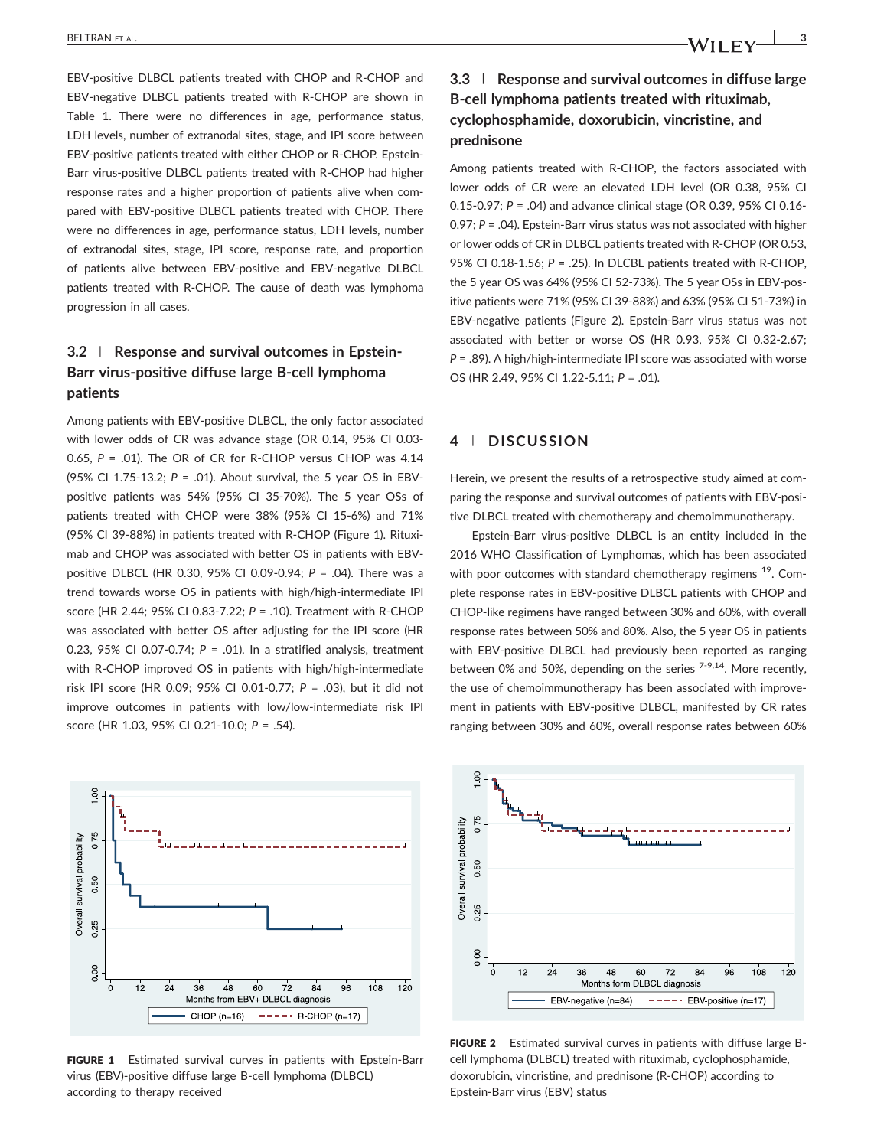progression in all cases.

EBV‐positive DLBCL patients treated with CHOP and R‐CHOP and EBV-negative DLBCL patients treated with R-CHOP are shown in Table 1. There were no differences in age, performance status, LDH levels, number of extranodal sites, stage, and IPI score between EBV‐positive patients treated with either CHOP or R‐CHOP. Epstein‐ Barr virus‐positive DLBCL patients treated with R‐CHOP had higher response rates and a higher proportion of patients alive when compared with EBV‐positive DLBCL patients treated with CHOP. There were no differences in age, performance status, LDH levels, number of extranodal sites, stage, IPI score, response rate, and proportion of patients alive between EBV‐positive and EBV‐negative DLBCL patients treated with R-CHOP. The cause of death was lymphoma

# 3.2 | Response and survival outcomes in Epstein-Barr virus‐positive diffuse large B‐cell lymphoma patients

Among patients with EBV‐positive DLBCL, the only factor associated with lower odds of CR was advance stage (OR 0.14, 95% CI 0.03‐  $0.65$ ,  $P = .01$ ). The OR of CR for R-CHOP versus CHOP was  $4.14$ (95% CI 1.75‐13.2; P = .01). About survival, the 5 year OS in EBV‐ positive patients was 54% (95% CI 35‐70%). The 5 year OSs of patients treated with CHOP were 38% (95% CI 15‐6%) and 71% (95% CI 39‐88%) in patients treated with R‐CHOP (Figure 1). Rituximab and CHOP was associated with better OS in patients with EBV‐ positive DLBCL (HR 0.30, 95% CI 0.09‐0.94; P = .04). There was a trend towards worse OS in patients with high/high‐intermediate IPI score (HR 2.44; 95% CI 0.83‐7.22; P = .10). Treatment with R‐CHOP was associated with better OS after adjusting for the IPI score (HR 0.23, 95% CI 0.07-0.74;  $P = .01$ ). In a stratified analysis, treatment with R-CHOP improved OS in patients with high/high-intermediate risk IPI score (HR 0.09; 95% CI 0.01‐0.77; P = .03), but it did not improve outcomes in patients with low/low-intermediate risk IPI score (HR 1.03, 95% CI 0.21‐10.0; P = .54).



FIGURE 1 Estimated survival curves in patients with Epstein-Barr virus (EBV)‐positive diffuse large B‐cell lymphoma (DLBCL) according to therapy received

# 3.3 | Response and survival outcomes in diffuse large B‐cell lymphoma patients treated with rituximab, cyclophosphamide, doxorubicin, vincristine, and prednisone

Among patients treated with R-CHOP, the factors associated with lower odds of CR were an elevated LDH level (OR 0.38, 95% CI 0.15‐0.97; P = .04) and advance clinical stage (OR 0.39, 95% CI 0.16‐ 0.97; P = .04). Epstein‐Barr virus status was not associated with higher or lower odds of CR in DLBCL patients treated with R‐CHOP (OR 0.53, 95% CI 0.18-1.56;  $P = .25$ ). In DLCBL patients treated with R-CHOP, the 5 year OS was 64% (95% CI 52‐73%). The 5 year OSs in EBV‐positive patients were 71% (95% CI 39‐88%) and 63% (95% CI 51‐73%) in EBV‐negative patients (Figure 2). Epstein‐Barr virus status was not associated with better or worse OS (HR 0.93, 95% CI 0.32‐2.67; P = .89). A high/high‐intermediate IPI score was associated with worse OS (HR 2.49, 95% CI 1.22‐5.11; P = .01).

# 4 | DISCUSSION

Herein, we present the results of a retrospective study aimed at comparing the response and survival outcomes of patients with EBV‐positive DLBCL treated with chemotherapy and chemoimmunotherapy.

Epstein‐Barr virus‐positive DLBCL is an entity included in the 2016 WHO Classification of Lymphomas, which has been associated with poor outcomes with standard chemotherapy regimens <sup>19</sup>. Complete response rates in EBV‐positive DLBCL patients with CHOP and CHOP‐like regimens have ranged between 30% and 60%, with overall response rates between 50% and 80%. Also, the 5 year OS in patients with EBV‐positive DLBCL had previously been reported as ranging between 0% and 50%, depending on the series  $7-9.14$ . More recently, the use of chemoimmunotherapy has been associated with improvement in patients with EBV‐positive DLBCL, manifested by CR rates ranging between 30% and 60%, overall response rates between 60%



FIGURE 2 Estimated survival curves in patients with diffuse large Bcell lymphoma (DLBCL) treated with rituximab, cyclophosphamide, doxorubicin, vincristine, and prednisone (R‐CHOP) according to Epstein‐Barr virus (EBV) status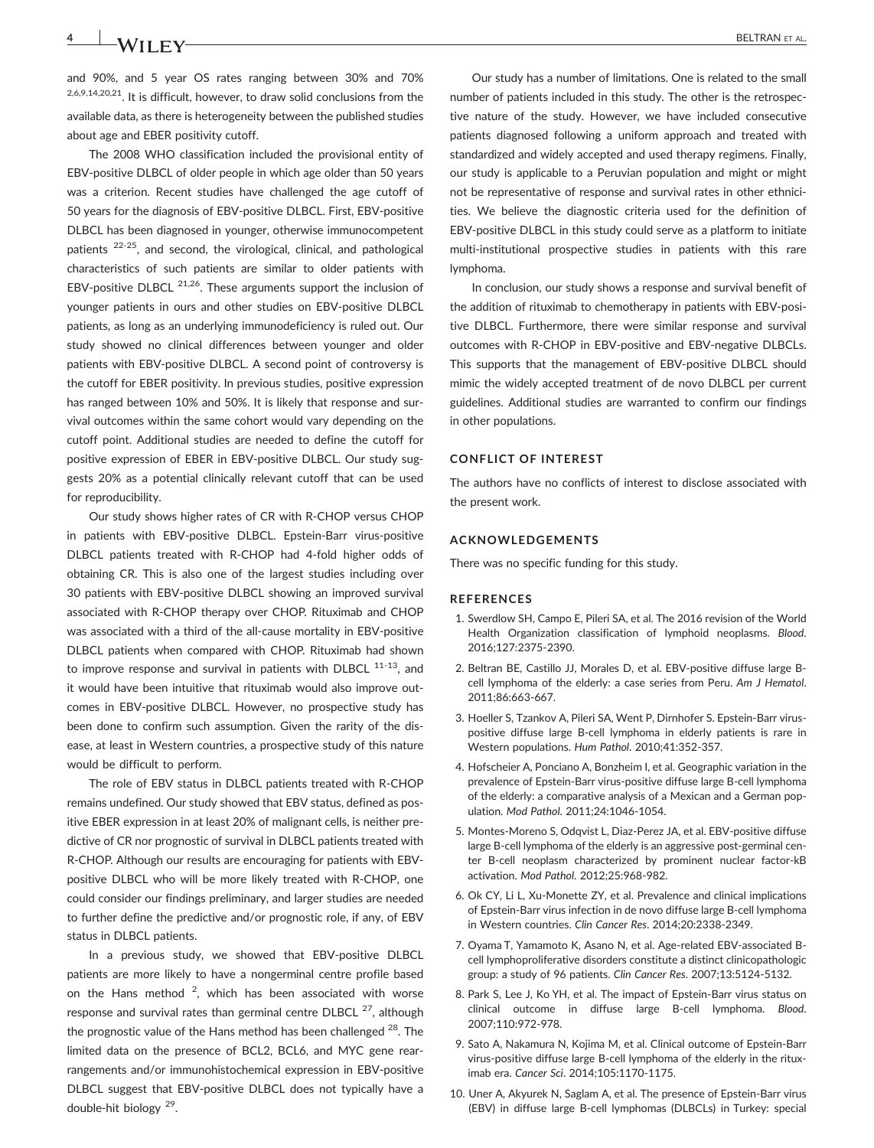and 90%, and 5 year OS rates ranging between 30% and 70% 2,6,9,14,20,21. It is difficult, however, to draw solid conclusions from the available data, as there is heterogeneity between the published studies about age and EBER positivity cutoff.

The 2008 WHO classification included the provisional entity of EBV‐positive DLBCL of older people in which age older than 50 years was a criterion. Recent studies have challenged the age cutoff of 50 years for the diagnosis of EBV‐positive DLBCL. First, EBV‐positive DLBCL has been diagnosed in younger, otherwise immunocompetent patients 22-25, and second, the virological, clinical, and pathological characteristics of such patients are similar to older patients with EBV-positive DLBCL  $21,26$ . These arguments support the inclusion of younger patients in ours and other studies on EBV‐positive DLBCL patients, as long as an underlying immunodeficiency is ruled out. Our study showed no clinical differences between younger and older patients with EBV‐positive DLBCL. A second point of controversy is the cutoff for EBER positivity. In previous studies, positive expression has ranged between 10% and 50%. It is likely that response and survival outcomes within the same cohort would vary depending on the cutoff point. Additional studies are needed to define the cutoff for positive expression of EBER in EBV‐positive DLBCL. Our study suggests 20% as a potential clinically relevant cutoff that can be used for reproducibility.

Our study shows higher rates of CR with R‐CHOP versus CHOP in patients with EBV‐positive DLBCL. Epstein‐Barr virus‐positive DLBCL patients treated with R‐CHOP had 4‐fold higher odds of obtaining CR. This is also one of the largest studies including over 30 patients with EBV‐positive DLBCL showing an improved survival associated with R‐CHOP therapy over CHOP. Rituximab and CHOP was associated with a third of the all-cause mortality in EBV-positive DLBCL patients when compared with CHOP. Rituximab had shown to improve response and survival in patients with DLBCL 11-13, and it would have been intuitive that rituximab would also improve outcomes in EBV‐positive DLBCL. However, no prospective study has been done to confirm such assumption. Given the rarity of the disease, at least in Western countries, a prospective study of this nature would be difficult to perform.

The role of EBV status in DLBCL patients treated with R‐CHOP remains undefined. Our study showed that EBV status, defined as positive EBER expression in at least 20% of malignant cells, is neither predictive of CR nor prognostic of survival in DLBCL patients treated with R‐CHOP. Although our results are encouraging for patients with EBV‐ positive DLBCL who will be more likely treated with R‐CHOP, one could consider our findings preliminary, and larger studies are needed to further define the predictive and/or prognostic role, if any, of EBV status in DLBCL patients.

In a previous study, we showed that EBV‐positive DLBCL patients are more likely to have a nongerminal centre profile based on the Hans method  $2$ , which has been associated with worse response and survival rates than germinal centre DLBCL  $^{27}$ , although the prognostic value of the Hans method has been challenged  $^{28}$ . The limited data on the presence of BCL2, BCL6, and MYC gene rearrangements and/or immunohistochemical expression in EBV‐positive DLBCL suggest that EBV‐positive DLBCL does not typically have a double‐hit biology 29.

Our study has a number of limitations. One is related to the small number of patients included in this study. The other is the retrospective nature of the study. However, we have included consecutive patients diagnosed following a uniform approach and treated with standardized and widely accepted and used therapy regimens. Finally, our study is applicable to a Peruvian population and might or might not be representative of response and survival rates in other ethnicities. We believe the diagnostic criteria used for the definition of EBV‐positive DLBCL in this study could serve as a platform to initiate multi-institutional prospective studies in patients with this rare lymphoma.

In conclusion, our study shows a response and survival benefit of the addition of rituximab to chemotherapy in patients with EBV‐positive DLBCL. Furthermore, there were similar response and survival outcomes with R‐CHOP in EBV‐positive and EBV‐negative DLBCLs. This supports that the management of EBV‐positive DLBCL should mimic the widely accepted treatment of de novo DLBCL per current guidelines. Additional studies are warranted to confirm our findings in other populations.

#### CONFLICT OF INTEREST

The authors have no conflicts of interest to disclose associated with the present work.

#### ACKNOWLEDGEMENTS

There was no specific funding for this study.

#### REFERENCES

- 1. Swerdlow SH, Campo E, Pileri SA, et al. The 2016 revision of the World Health Organization classification of lymphoid neoplasms. Blood. 2016;127:2375‐2390.
- 2. Beltran BE, Castillo JJ, Morales D, et al. EBV‐positive diffuse large B‐ cell lymphoma of the elderly: a case series from Peru. Am J Hematol. 2011;86:663‐667.
- 3. Hoeller S, Tzankov A, Pileri SA, Went P, Dirnhofer S. Epstein‐Barr virus‐ positive diffuse large B-cell lymphoma in elderly patients is rare in Western populations. Hum Pathol. 2010;41:352‐357.
- 4. Hofscheier A, Ponciano A, Bonzheim I, et al. Geographic variation in the prevalence of Epstein‐Barr virus‐positive diffuse large B‐cell lymphoma of the elderly: a comparative analysis of a Mexican and a German population. Mod Pathol. 2011;24:1046‐1054.
- 5. Montes‐Moreno S, Odqvist L, Diaz‐Perez JA, et al. EBV‐positive diffuse large B-cell lymphoma of the elderly is an aggressive post-germinal center B-cell neoplasm characterized by prominent nuclear factor-kB activation. Mod Pathol. 2012;25:968‐982.
- 6. Ok CY, Li L, Xu‐Monette ZY, et al. Prevalence and clinical implications of Epstein‐Barr virus infection in de novo diffuse large B‐cell lymphoma in Western countries. Clin Cancer Res. 2014;20:2338‐2349.
- 7. Oyama T, Yamamoto K, Asano N, et al. Age‐related EBV‐associated B‐ cell lymphoproliferative disorders constitute a distinct clinicopathologic group: a study of 96 patients. Clin Cancer Res. 2007;13:5124‐5132.
- 8. Park S, Lee J, Ko YH, et al. The impact of Epstein‐Barr virus status on clinical outcome in diffuse large B-cell lymphoma. Blood. 2007;110:972‐978.
- 9. Sato A, Nakamura N, Kojima M, et al. Clinical outcome of Epstein‐Barr virus‐positive diffuse large B‐cell lymphoma of the elderly in the rituximab era. Cancer Sci. 2014;105:1170‐1175.
- 10. Uner A, Akyurek N, Saglam A, et al. The presence of Epstein‐Barr virus (EBV) in diffuse large B‐cell lymphomas (DLBCLs) in Turkey: special